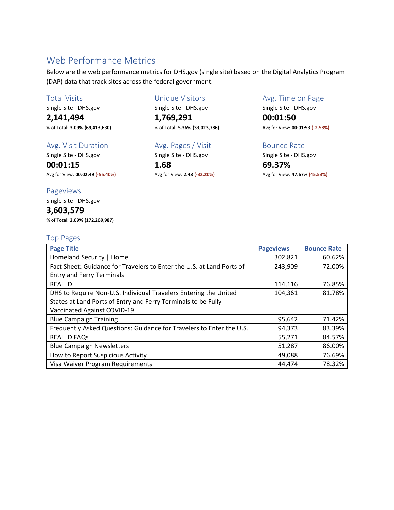# Web Performance Metrics

Below are the web performance metrics for DHS.gov (single site) based on the Digital Analytics Program (DAP) data that track sites across the federal government.

### Total Visits

Single Site - DHS.gov

**2,141,494** % of Total: **3.09% (69,413,630)**

### Avg. Visit Duration

Single Site - DHS.gov **00:01:15**

Avg for View: **00:02:49 (-55.40%)**

## Pageviews

Single Site - DHS.gov

# **3,603,579**

% of Total: **2.09% (172,269,987)**

### Top Pages

| 19.197                                                                |                  |                    |
|-----------------------------------------------------------------------|------------------|--------------------|
| <b>Page Title</b>                                                     | <b>Pageviews</b> | <b>Bounce Rate</b> |
| Homeland Security   Home                                              | 302,821          | 60.62%             |
| Fact Sheet: Guidance for Travelers to Enter the U.S. at Land Ports of | 243,909          | 72.00%             |
| <b>Entry and Ferry Terminals</b>                                      |                  |                    |
| <b>REAL ID</b>                                                        | 114,116          | 76.85%             |
| DHS to Require Non-U.S. Individual Travelers Entering the United      | 104,361          | 81.78%             |
| States at Land Ports of Entry and Ferry Terminals to be Fully         |                  |                    |
| Vaccinated Against COVID-19                                           |                  |                    |
| <b>Blue Campaign Training</b>                                         | 95,642           | 71.42%             |
| Frequently Asked Questions: Guidance for Travelers to Enter the U.S.  | 94,373           | 83.39%             |
| <b>REAL ID FAQs</b>                                                   | 55,271           | 84.57%             |
| <b>Blue Campaign Newsletters</b>                                      | 51,287           | 86.00%             |
| How to Report Suspicious Activity                                     | 49,088           | 76.69%             |
| Visa Waiver Program Requirements                                      | 44,474           | 78.32%             |

### Unique Visitors

Single Site - DHS.gov

**1,769,291** % of Total: **5.36% (33,023,786)**

### Avg. Pages / Visit

Single Site - DHS.gov **1.68**

Avg for View: **2.48 (-32.20%)**

### Avg. Time on Page

Single Site - DHS.gov

**00:01:50** Avg for View: **00:01:53 (-2.58%)**

### Bounce Rate

Single Site - DHS.gov **69.37%** Avg for View: **47.67% (45.53%)**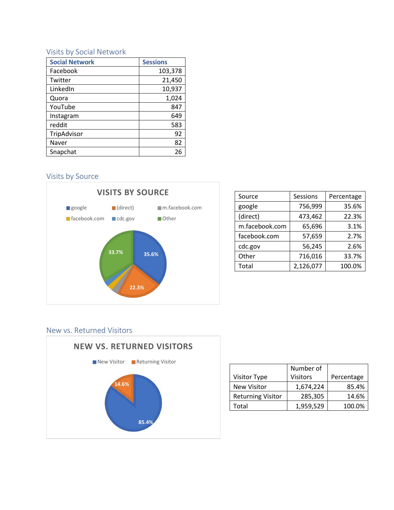## Visits by Social Network

| <b>Social Network</b> | <b>Sessions</b> |
|-----------------------|-----------------|
| Facebook              | 103,378         |
| Twitter               | 21,450          |
| LinkedIn              | 10,937          |
| Quora                 | 1,024           |
| YouTube               | 847             |
| Instagram             | 649             |
| reddit                | 583             |
| TripAdvisor           | 92              |
| Naver                 | 82              |
| Snapchat              | 26              |

## Visits by Source



| Source         | Sessions  | Percentage |
|----------------|-----------|------------|
| google         | 756,999   | 35.6%      |
| (direct)       | 473,462   | 22.3%      |
| m.facebook.com | 65,696    | 3.1%       |
| facebook.com   | 57,659    | 2.7%       |
| cdc.gov        | 56,245    | 2.6%       |
| Other          | 716,016   | 33.7%      |
| Total          | 2,126,077 | 100.0%     |
|                |           |            |

## New vs. Returned Visitors



|                          | Number of       |            |
|--------------------------|-----------------|------------|
| <b>Visitor Type</b>      | <b>Visitors</b> | Percentage |
| <b>New Visitor</b>       | 1,674,224       | 85.4%      |
| <b>Returning Visitor</b> | 285,305         | 14.6%      |
| Total                    | 1,959,529       | 100.0%     |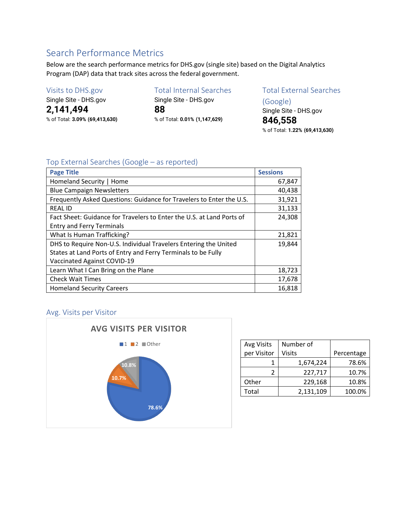# Search Performance Metrics

Below are the search performance metrics for DHS.gov (single site) based on the Digital Analytics Program (DAP) data that track sites across the federal government.

## Visits to DHS.gov

Single Site - DHS.gov **2,141,494** % of Total: **3.09% (69,413,630)** Total Internal Searches Single Site - DHS.gov **88** % of Total: **0.01% (1,147,629)**

# Total External Searches

(Google) Single Site - DHS.gov **846,558** % of Total: **1.22% (69,413,630)**

## Top External Searches (Google – as reported)

| <b>Page Title</b>                                                     | <b>Sessions</b> |
|-----------------------------------------------------------------------|-----------------|
| Homeland Security   Home                                              | 67,847          |
| <b>Blue Campaign Newsletters</b>                                      | 40,438          |
| Frequently Asked Questions: Guidance for Travelers to Enter the U.S.  | 31,921          |
| <b>REAL ID</b>                                                        | 31,133          |
| Fact Sheet: Guidance for Travelers to Enter the U.S. at Land Ports of | 24,308          |
| <b>Entry and Ferry Terminals</b>                                      |                 |
| What Is Human Trafficking?                                            | 21,821          |
| DHS to Require Non-U.S. Individual Travelers Entering the United      | 19,844          |
| States at Land Ports of Entry and Ferry Terminals to be Fully         |                 |
| Vaccinated Against COVID-19                                           |                 |
| Learn What I Can Bring on the Plane                                   | 18,723          |
| <b>Check Wait Times</b>                                               | 17,678          |
| <b>Homeland Security Careers</b>                                      | 16,818          |

## Avg. Visits per Visitor



| Avg Visits  | Number of |            |
|-------------|-----------|------------|
| per Visitor | Visits    | Percentage |
|             | 1,674,224 | 78.6%      |
| 2           | 227,717   | 10.7%      |
| Other       | 229,168   | 10.8%      |
| Total       | 2,131,109 | 100.0%     |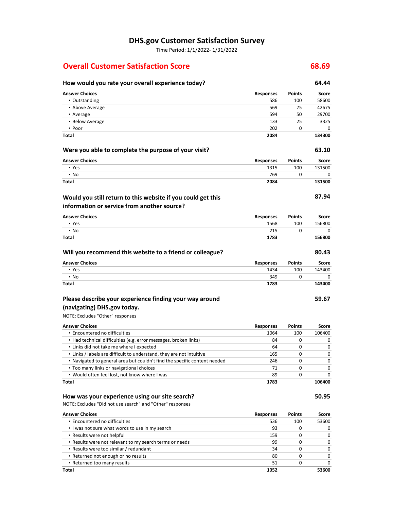# **DHS.gov Customer Satisfaction Survey**

Time Period: 1/1/2022- 1/31/2022

## **Overall Customer Satisfaction Score 68.69**

| How would you rate your overall experience today?                         |                  |               | 64.44  |
|---------------------------------------------------------------------------|------------------|---------------|--------|
| <b>Answer Choices</b>                                                     | <b>Responses</b> | Points        | Score  |
| • Outstanding                                                             | 586              | 100           | 58600  |
| • Above Average                                                           | 569              | 75            | 42675  |
| • Average                                                                 | 594              | 50            | 29700  |
| • Below Average                                                           | 133              | 25            | 3325   |
| • Poor                                                                    | 202              | 0             | 0      |
| Total                                                                     | 2084             |               | 134300 |
| Were you able to complete the purpose of your visit?                      |                  |               | 63.10  |
| <b>Answer Choices</b>                                                     | <b>Responses</b> | Points        | Score  |
| • Yes                                                                     | 1315             | 100           | 131500 |
| $\cdot$ No                                                                | 769              | 0             | 0      |
| Total                                                                     | 2084             |               | 131500 |
| Would you still return to this website if you could get this              |                  |               | 87.94  |
| information or service from another source?                               |                  |               |        |
| <b>Answer Choices</b>                                                     | <b>Responses</b> | Points        | Score  |
| • Yes                                                                     | 1568             | 100           | 156800 |
| $\cdot$ No                                                                | 215              | 0             | 0      |
| Total                                                                     | 1783             |               | 156800 |
| Will you recommend this website to a friend or colleague?                 |                  |               | 80.43  |
| <b>Answer Choices</b>                                                     | <b>Responses</b> | Points        | Score  |
| • Yes                                                                     | 1434             | 100           | 143400 |
| $\blacksquare$ No                                                         | 349              | 0             | 0      |
| Total                                                                     | 1783             |               | 143400 |
| Please describe your experience finding your way around                   |                  |               | 59.67  |
| (navigating) DHS.gov today.                                               |                  |               |        |
| NOTE: Excludes "Other" responses                                          |                  |               |        |
| <b>Answer Choices</b>                                                     | <b>Responses</b> | <b>Points</b> | Score  |
| · Encountered no difficulties                                             | 1064             | 100           | 106400 |
| • Had technical difficulties (e.g. error messages, broken links)          | 84               | 0             | 0      |
| . Links did not take me where I expected                                  | 64               | 0             | 0      |
| . Links / labels are difficult to understand, they are not intuitive      | 165              | 0             | 0      |
| . Navigated to general area but couldn't find the specific content needed | 246              | 0             | 0      |
| • Too many links or navigational choices                                  | 71               | 0             | 0      |
| • Would often feel lost, not know where I was                             | 89               | 0             | 0      |
| Total                                                                     | 1783             |               | 106400 |
| How was your experience using our site search?                            |                  |               | 50.95  |
| NOTE: Excludes "Did not use search" and "Other" responses                 |                  |               |        |
| <b>Answer Choices</b>                                                     | <b>Responses</b> | Points        | Score  |
| · Encountered no difficulties                                             | 536              | 100           | 53600  |
| . I was not sure what words to use in my search                           | 93               | 0             | 0      |
| • Results were not helpful                                                | 159              | 0             | 0      |
| . Results were not relevant to my search terms or needs                   | 99               | 0             | 0      |
| • Results were too similar / redundant                                    | 34               | 0             | 0      |
| • Returned not enough or no results                                       | 80               | 0             | 0      |
| • Returned too many results                                               | 51               | 0             | 0      |

**Total 1052 53600**